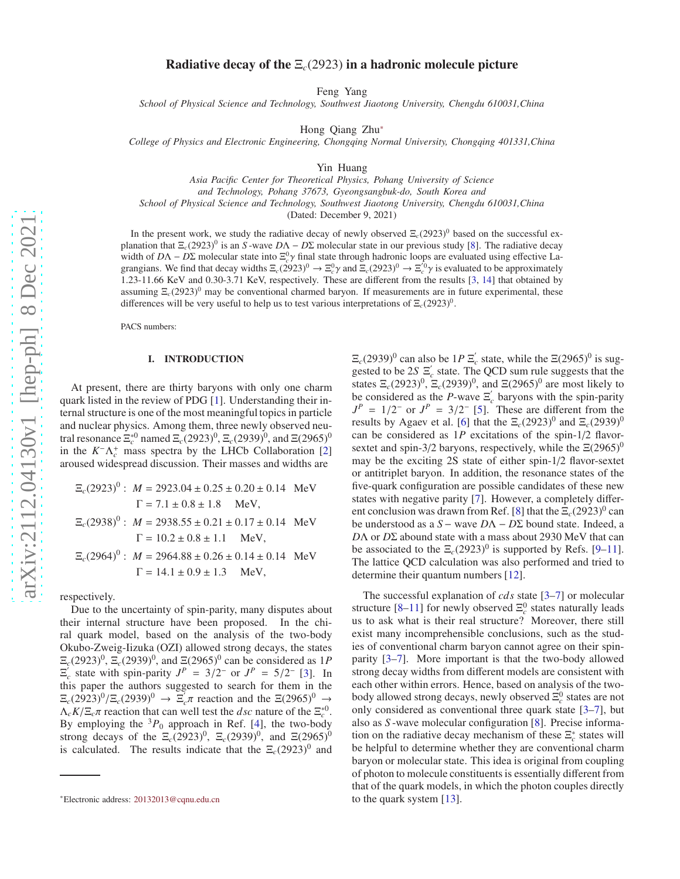# Radiative decay of the  $E_c(2923)$  in a hadronic molecule picture

Feng Yang

*School of Physical Science and Technology, Southwest Jiaotong University, Chengdu 610031,China*

Hong Qiang Zhu[∗](#page-0-0)

*College of Physics and Electronic Engineering, Chongqing Normal University, Chongqing 401331,China*

Yin Huang

*Asia Pacific Center for Theoretical Physics, Pohang University of Science and Technology, Pohang 37673, Gyeongsangbuk-do, South Korea and School of Physical Science and Technology, Southwest Jiaotong University, Chengdu 610031,China*

(Dated: December 9, 2021)

In the present work, we study the radiative decay of newly observed  $\Xi_c(2923)^0$  based on the successful explanation that  $\Xi_c(2923)^0$  is an *S* -wave  $D\Lambda - D\Sigma$  molecular state in our previous study [\[8](#page-6-0)]. The radiative decay width of  $D\Lambda - D\Sigma$  molecular state into  $\Xi_c^0 \gamma$  final state through hadronic loops are evaluated using effective Lagrangians. We find that decay widths  $\Xi_c(2923)^0 \to \Xi_c^0 \gamma$  and  $\Xi_c(2923)^0 \to \Xi_c^0 \gamma$  is evaluated to be approximately 1.23-11.66 KeV and 0.30-3.71 KeV, respectively. These are different from the results [\[3](#page-6-1), [14](#page-6-2)] that obtained by assuming  $\Xi_c(2923)^0$  may be conventional charmed baryon. If measurements are in future experimental, these differences will be very useful to help us to test various interpretations of  $\Xi_c(2923)^0$ .

PACS numbers:

# I. INTRODUCTION

At present, there are thirty baryons with only one charm quark listed in the review of PDG [\[1\]](#page-6-3). Understanding their internal structure is one of the most meaningful topics in particle and nuclear physics. Among them, three newly observed neutral resonance  $\Xi_c^{*0}$  named  $\Xi_c(2923)^0$ ,  $\Xi_c(2939)^0$ , and  $\Xi(2965)^0$ in the  $K^-\Lambda_c^+$  mass spectra by the LHCb Collaboration [\[2\]](#page-6-4) aroused widespread discussion. Their masses and widths are

$$
\Xi_c(2923)^0: M = 2923.04 \pm 0.25 \pm 0.20 \pm 0.14 \text{ MeV}
$$
  
\n
$$
\Gamma = 7.1 \pm 0.8 \pm 1.8 \text{ MeV},
$$
  
\n
$$
\Xi_c(2938)^0: M = 2938.55 \pm 0.21 \pm 0.17 \pm 0.14 \text{ MeV}
$$
  
\n
$$
\Gamma = 10.2 \pm 0.8 \pm 1.1 \text{ MeV},
$$
  
\n
$$
\Xi_c(2964)^0: M = 2964.88 \pm 0.26 \pm 0.14 \pm 0.14 \text{ MeV}
$$
  
\n
$$
\Gamma = 14.1 \pm 0.9 \pm 1.3 \text{ MeV},
$$

respectively.

Due to the uncertainty of spin-parity, many disputes about their internal structure have been proposed. In the chiral quark model, based on the analysis of the two-body Okubo-Zweig-Iizuka (OZI) allowed strong decays, the states  $\Xi_c(2923)^0$ ,  $\Xi_c(2939)^0$ , and  $\Xi(2965)^0$  can be considered as 1*P*  $\Xi_c$  state with spin-parity  $J^P = 3/2^-$  or  $J^P = 5/2^-$  [\[3](#page-6-1)]. In this paper the authors suggested to search for them in the  $\Xi_c(2923)^0/\Xi_c(2939)^0 \rightarrow \Xi_c/\pi$  reaction and the  $\Xi(2965)^0 \rightarrow$  $\Lambda_c K / \Xi_c \pi$  reaction that can well test the *dsc* nature of the  $\Xi_c^{*0}$ . By employing the  ${}^{3}P_0$  approach in Ref. [\[4](#page-6-5)], the two-body strong decays of the  $\Xi_c(2923)^0$ ,  $\Xi_c(2939)^0$ , and  $\Xi(2965)^0$ is calculated. The results indicate that the  $\Xi_c(2923)^0$  and

 $\Xi_c(2939)^0$  can also be  $1P \Xi_c$  state, while the  $\Xi(2965)^0$  is suggested to be  $2S \nightharpoonup c$  state. The QCD sum rule suggests that the states  $\Xi_c(2923)^0$ ,  $\Xi_c(2939)^0$ , and  $\Xi(2965)^0$  are most likely to be considered as the *P*-wave  $\Xi_c$  baryons with the spin-parity  $J^P = 1/2^-$  or  $J^P = 3/2^-$  [\[5\]](#page-6-6). These are different from the results by Agaev et al. [\[6](#page-6-7)] that the  $\Xi_c(2923)^0$  and  $\Xi_c(2939)^0$ can be considered as 1*P* excitations of the spin-1/2 flavorsextet and spin-3/2 baryons, respectively, while the  $\Xi(2965)^0$ may be the exciting 2S state of either spin-1/2 flavor-sextet or antitriplet baryon. In addition, the resonance states of the five-quark configuration are possible candidates of these new states with negative parity [\[7\]](#page-6-8). However, a completely differ-ent conclusion was drawn from Ref. [\[8](#page-6-0)] that the  $\Xi_c(2923)^0$  can be understood as a *S* − wave *D*Λ − *D*Σ bound state. Indeed, a *D*Λ or *D*Σ abound state with a mass about 2930 MeV that can be associated to the  $\Xi_c(2923)^0$  is supported by Refs. [\[9](#page-6-9)[–11](#page-6-10)]. The lattice QCD calculation was also performed and tried to determine their quantum numbers [\[12\]](#page-6-11).

The successful explanation of *cds* state [\[3](#page-6-1)[–7](#page-6-8)] or molecular structure  $[8-11]$  for newly observed  $\Xi_c^0$  states naturally leads us to ask what is their real structure? Moreover, there still exist many incomprehensible conclusions, such as the studies of conventional charm baryon cannot agree on their spinparity [\[3](#page-6-1)[–7\]](#page-6-8). More important is that the two-body allowed strong decay widths from different models are consistent with each other within errors. Hence, based on analysis of the twobody allowed strong decays, newly observed Ξ<sup>0</sup> states are not only considered as conventional three quark state [\[3](#page-6-1)[–7](#page-6-8)], but also as *S* -wave molecular configuration [\[8](#page-6-0)]. Precise information on the radiative decay mechanism of these  $\Xi_c^*$  states will be helpful to determine whether they are conventional charm baryon or molecular state. This idea is original from coupling of photon to molecule constituents is essentially different from that of the quark models, in which the photon couples directly to the quark system [\[13\]](#page-6-12).

<span id="page-0-0"></span><sup>∗</sup>Electronic address: [20132013@cqnu.edu.cn](mailto:20132013@cqnu.edu.cn)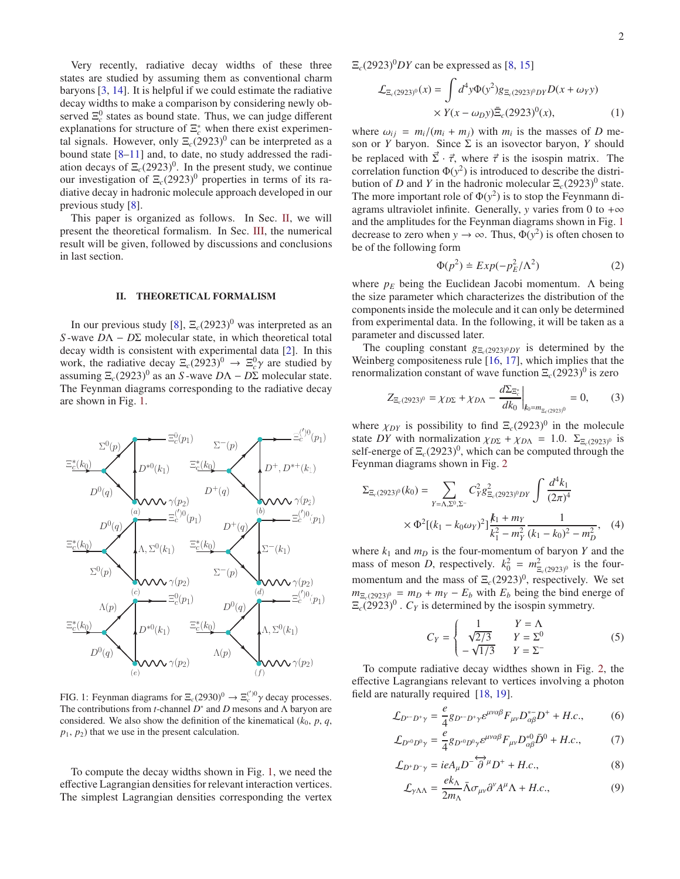Very recently, radiative decay widths of these three states are studied by assuming them as conventional charm baryons [\[3](#page-6-1), [14](#page-6-2)]. It is helpful if we could estimate the radiative decay widths to make a comparison by considering newly observed  $\Xi_c^0$  states as bound state. Thus, we can judge different explanations for structure of  $\Xi_c^*$  when there exist experimental signals. However, only  $\Xi_c(2923)^0$  can be interpreted as a bound state [\[8](#page-6-0)[–11](#page-6-10)] and, to date, no study addressed the radiation decays of  $\Xi_c(2923)^0$ . In the present study, we continue our investigation of  $\Xi_c(2923)^0$  properties in terms of its radiative decay in hadronic molecule approach developed in our previous study [\[8\]](#page-6-0).

This paper is organized as follows. In Sec. [II,](#page-1-0) we will present the theoretical formalism. In Sec. [III,](#page-4-0) the numerical result will be given, followed by discussions and conclusions in last section.

#### <span id="page-1-0"></span>II. THEORETICAL FORMALISM

In our previous study [\[8\]](#page-6-0),  $\Xi_c(2923)^0$  was interpreted as an *S* -wave *D*Λ − *D*Σ molecular state, in which theoretical total decay width is consistent with experimental data [\[2\]](#page-6-4). In this work, the radiative decay  $\Xi_c(2923)^0 \rightarrow \Xi_c^0 \gamma$  are studied by assuming  $\Xi_c(2923)^0$  as an *S*-wave  $D\Lambda - D\Sigma$  molecular state. The Feynman diagrams corresponding to the radiative decay are shown in Fig. [1.](#page-1-1)



<span id="page-1-1"></span>FIG. 1: Feynman diagrams for  $\Xi_c(2930)^0 \to \Xi_c^{(')0} \gamma$  decay processes. The contributions from *t*-channel *D*<sup>∗</sup> and *D* mesons and Λ baryon are considered. We also show the definition of the kinematical  $(k_0, p, q,$  $p_1, p_2$ ) that we use in the present calculation.

To compute the decay widths shown in Fig. [1,](#page-1-1) we need the effective Lagrangian densities for relevant interaction vertices. The simplest Lagrangian densities corresponding the vertex

 $\Xi_c(2923)^0DY$  can be expressed as [\[8,](#page-6-0) [15\]](#page-6-13)

<span id="page-1-2"></span>
$$
\mathcal{L}_{\Xi_c(2923)^0}(x) = \int d^4 y \Phi(y^2) g_{\Xi_c(2923)^0 DY} D(x + \omega_Y y) \times Y(x - \omega_D y) \bar{\Xi}_c(2923)^0(x), \tag{1}
$$

where  $\omega_{ij} = m_i/(m_i + m_j)$  with  $m_i$  is the masses of *D* meson or *Y* baryon. Since  $\Sigma$  is an isovector baryon, *Y* should be replaced with  $\vec{\Sigma} \cdot \vec{\tau}$ , where  $\vec{\tau}$  is the isospin matrix. The correlation function  $\Phi(y^2)$  is introduced to describe the distribution of *D* and *Y* in the hadronic molecular  $\Xi_c(2923)^0$  state. The more important role of  $\Phi(y^2)$  is to stop the Feynmann diagrams ultraviolet infinite. Generally, *y* varies from 0 to + $\infty$ and the amplitudes for the Feynman diagrams shown in Fig. [1](#page-1-1) decrease to zero when  $y \to \infty$ . Thus,  $\Phi(y^2)$  is often chosen to be of the following form

<span id="page-1-3"></span>
$$
\Phi(p^2) \doteq Exp(-p_E^2/\Lambda^2)
$$
 (2)

where  $p_E$  being the Euclidean Jacobi momentum.  $\Lambda$  being the size parameter which characterizes the distribution of the components inside the molecule and it can only be determined from experimental data. In the following, it will be taken as a parameter and discussed later.

The coupling constant  $g_{\Xi_0(2923)^0DY}$  is determined by the Weinberg compositeness rule [\[16](#page-6-14), [17](#page-6-15)], which implies that the renormalization constant of wave function  $\Xi_c(2923)^0$  is zero

$$
Z_{\Xi_c(2923)^0} = \chi_{D\Sigma} + \chi_{D\Lambda} - \frac{d\Sigma_{\Xi_c^*}}{dk_0}\bigg|_{k_0 = m_{\Xi_c(2923)^0}} = 0, \qquad (3)
$$

where  $\chi_{DY}$  is possibility to find  $\Xi_c(2923)^0$  in the molecule state *DY* with normalization  $\chi_{D\Sigma} + \chi_{D\Lambda} = 1.0$ .  $\Sigma_{\Xi_c(2923)^0}$  is self-energe of  $\Xi_c(2923)^0$ , which can be computed through the Feynman diagrams shown in Fig. [2](#page-2-0)

$$
\Sigma_{\Xi_c(2923)^0}(k_0) = \sum_{Y=\Lambda,\Sigma^0,\Sigma^-} C_Y^2 g_{\Xi_c(2923)^0 DY}^2 \int \frac{d^4 k_1}{(2\pi)^4} \times \Phi^2 [(k_1 - k_0 \omega_Y)^2] \frac{k_1 + m_Y}{k_1^2 - m_Y^2} \frac{1}{(k_1 - k_0)^2 - m_D^2},
$$
 (4)

where  $k_1$  and  $m_D$  is the four-momentum of baryon *Y* and the mass of meson *D*, respectively.  $k_0^2 = m_{\Xi_c(2923)^0}^2$  is the fourmomentum and the mass of  $\Xi_c(2923)^0$ , respectively. We set  $m_{\overline{E}_c(2923)^0} = m_D + m_Y - E_b$  with  $E_b$  being the bind energe of  $\Xi_c(2923)^0$ .  $C_Y$  is determined by the isospin symmetry.

$$
C_Y = \begin{cases} 1 & Y = \Lambda \\ \sqrt{2/3} & Y = \Sigma^0 \\ -\sqrt{1/3} & Y = \Sigma^- \end{cases} \tag{5}
$$

To compute radiative decay widthes shown in Fig. [2,](#page-2-0) the effective Lagrangians relevant to vertices involving a photon field are naturally required [\[18](#page-6-16), [19](#page-6-17)].

$$
\mathcal{L}_{D^{\circ -} D^+ \gamma} = \frac{e}{4} g_{D^{\circ -} D^+ \gamma} \varepsilon^{\mu \nu \alpha \beta} F_{\mu \nu} D^{\circ -}_{\alpha \beta} D^+ + H.c., \tag{6}
$$

$$
\mathcal{L}_{D^{*0}D^0\gamma} = \frac{e}{4} g_{D^{*0}D^0\gamma} \varepsilon^{\mu\nu\alpha\beta} F_{\mu\nu} D^{*0}_{\alpha\beta} \bar{D}^0 + H.c., \tag{7}
$$

$$
\mathcal{L}_{D^+D^-\gamma} = ieA_\mu D^{-\overleftrightarrow{\partial}^\mu} D^+ + H.c.,\tag{8}
$$

$$
\mathcal{L}_{\gamma \Lambda\Lambda} = \frac{ek_{\Lambda}}{2m_{\Lambda}} \bar{\Lambda} \sigma_{\mu\nu} \partial^{\nu} A^{\mu} \Lambda + H.c., \qquad (9)
$$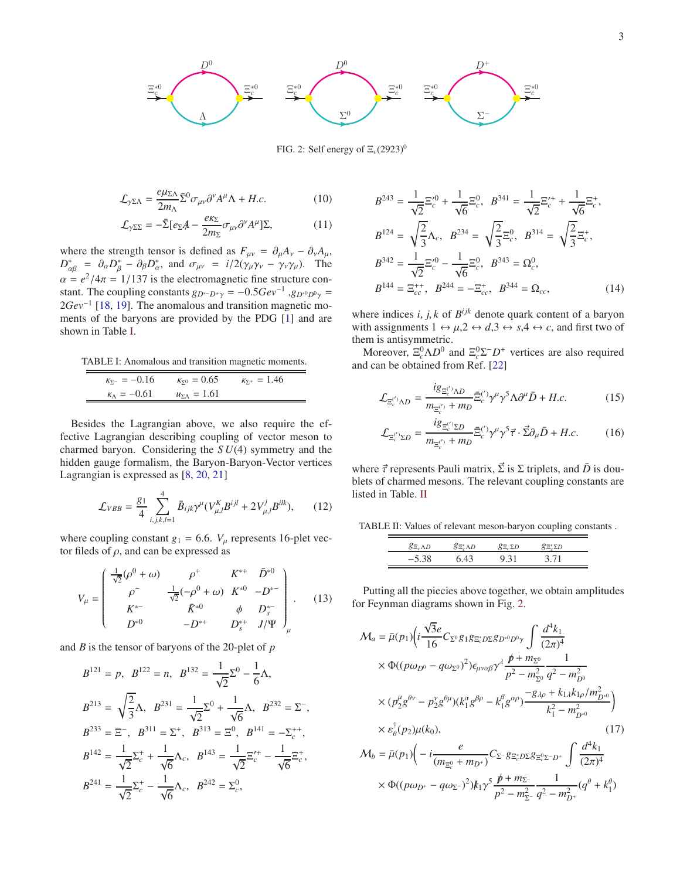

<span id="page-2-0"></span>FIG. 2: Self energy of  $\Xi_c(2923)^0$ 

$$
\mathcal{L}_{\gamma \Sigma \Lambda} = \frac{e\mu_{\Sigma \Lambda}}{2m_{\Lambda}} \bar{\Sigma}^0 \sigma_{\mu\nu} \partial^{\nu} A^{\mu} \Lambda + H.c.
$$
 (10)

$$
\mathcal{L}_{\gamma\Sigma\Sigma} = -\bar{\Sigma} [e_{\Sigma} A - \frac{e\kappa_{\Sigma}}{2m_{\Sigma}} \sigma_{\mu\nu} \partial^{\nu} A^{\mu}] \Sigma, \tag{11}
$$

where the strength tensor is defined as  $F_{\mu\nu} = \partial_{\mu}A_{\nu} - \partial_{\nu}A_{\mu}$ ,  $D_{\alpha\beta}^* = \partial_\alpha D_\beta^* - \partial_\beta D_\alpha^*$ , and  $\sigma_{\mu\nu} = i/2(\gamma_\mu \gamma_\nu - \gamma_\nu \gamma_\mu)$ . The  $\alpha = e^2/4\pi = 1/137$  is the electromagnetic fine structure constant. The coupling constants  $g_{D^*D^+\gamma} = -0.5Gev^{-1}$ ,  $g_{D^*0D^0\gamma} =$ 2*Gev*<sup>−1</sup> [\[18](#page-6-16), [19](#page-6-17)]. The anomalous and transition magnetic moments of the baryons are provided by the PDG [\[1\]](#page-6-3) and are shown in Table [I.](#page-2-1)

TABLE I: Anomalous and transition magnetic moments.

<span id="page-2-1"></span>

| $K_{\Sigma^-} = -0.16$     | $K_{\nabla^0} = 0.65$ | $K_{\Sigma^+} = 1.46$ |  |
|----------------------------|-----------------------|-----------------------|--|
| $\kappa_{\Lambda} = -0.61$ | $u_{\Sigma A} = 1.61$ |                       |  |

Besides the Lagrangian above, we also require the effective Lagrangian describing coupling of vector meson to charmed baryon. Considering the *S U*(4) symmetry and the hidden gauge formalism, the Baryon-Baryon-Vector vertices Lagrangian is expressed as [\[8,](#page-6-0) [20,](#page-6-18) [21\]](#page-6-19)

$$
\mathcal{L}_{VBB} = \frac{g_1}{4} \sum_{i,j,k,l=1}^{4} \bar{B}_{ijk} \gamma^{\mu} (V_{\mu,l}^{K} B^{ijl} + 2V_{\mu,l}^{j} B^{ilk}), \qquad (12)
$$

where coupling constant  $g_1 = 6.6$ .  $V_u$  represents 16-plet vector fileds of  $\rho$ , and can be expressed as

$$
V_{\mu} = \begin{pmatrix} \frac{1}{\sqrt{2}} (\rho^{0} + \omega) & \rho^{+} & K^{*+} & \bar{D}^{*0} \\ \rho^{-} & \frac{1}{\sqrt{2}} (-\rho^{0} + \omega) & K^{*0} & -D^{*-} \\ K^{*-} & \bar{K}^{*0} & \phi & D^{*-}_{s} \\ D^{*0} & -D^{*+} & D^{*+}_{s} & J/\Psi \end{pmatrix}_{\mu} . \tag{13}
$$

and *B* is the tensor of baryons of the 20-plet of *p*

$$
B^{121} = p, \quad B^{122} = n, \quad B^{132} = \frac{1}{\sqrt{2}} \Sigma^0 - \frac{1}{6} \Lambda,
$$
  
\n
$$
B^{213} = \sqrt{\frac{2}{3}} \Lambda, \quad B^{231} = \frac{1}{\sqrt{2}} \Sigma^0 + \frac{1}{\sqrt{6}} \Lambda, \quad B^{232} = \Sigma^-,
$$
  
\n
$$
B^{233} = \Xi^-, \quad B^{311} = \Sigma^+, \quad B^{313} = \Xi^0, \quad B^{141} = -\Sigma_c^{++},
$$
  
\n
$$
B^{142} = \frac{1}{\sqrt{2}} \Sigma_c^+ + \frac{1}{\sqrt{6}} \Lambda_c, \quad B^{143} = \frac{1}{\sqrt{2}} \Xi_c^{\prime+} - \frac{1}{\sqrt{6}} \Xi_c^+,
$$
  
\n
$$
B^{241} = \frac{1}{\sqrt{2}} \Sigma_c^+ - \frac{1}{\sqrt{6}} \Lambda_c, \quad B^{242} = \Sigma_c^0,
$$

$$
B^{243} = \frac{1}{\sqrt{2}} \Xi_c^{\prime 0} + \frac{1}{\sqrt{6}} \Xi_c^0, \quad B^{341} = \frac{1}{\sqrt{2}} \Xi_c^{\prime +} + \frac{1}{\sqrt{6}} \Xi_c^+,
$$
  
\n
$$
B^{124} = \sqrt{\frac{2}{3}} \Lambda_c, \quad B^{234} = \sqrt{\frac{2}{3}} \Xi_c^0, \quad B^{314} = \sqrt{\frac{2}{3}} \Xi_c^+,
$$
  
\n
$$
B^{342} = \frac{1}{\sqrt{2}} \Xi_c^{\prime 0} - \frac{1}{\sqrt{6}} \Xi_c^0, \quad B^{343} = \Omega_c^0,
$$
  
\n
$$
B^{144} = \Xi_{cc}^{++}, \quad B^{244} = -\Xi_{cc}^+, \quad B^{344} = \Omega_{cc}, \quad (14)
$$

where indices  $i, j, k$  of  $B^{ijk}$  denote quark content of a baryon with assignments  $1 \leftrightarrow \mu$ ,  $2 \leftrightarrow d$ ,  $3 \leftrightarrow s$ ,  $4 \leftrightarrow c$ , and first two of them is antisymmetric.

Moreover,  $\Xi_c^0 \Lambda D^0$  and  $\Xi_c^0 \Sigma^- D^+$  vertices are also required and can be obtained from Ref. [\[22\]](#page-6-20)

$$
\mathcal{L}_{\Xi_c^{(')}\Lambda D} = \frac{i g_{\Xi_c^{(')}\Lambda D}}{m_{\Xi_c^{(')}} + m_D} \bar{\Xi}_c^{(')} \gamma^\mu \gamma^5 \Lambda \partial^\mu \bar{D} + H.c.
$$
 (15)

$$
\mathcal{L}_{\Xi_c^{(')}\Sigma D} = \frac{i g_{\Xi_c^{(')}\Sigma D}}{m_{\Xi_c^{(')}} + m_D} \bar{\Xi}_c^{(')} \gamma^\mu \gamma^5 \vec{\tau} \cdot \vec{\Sigma} \partial_\mu \bar{D} + H.c.
$$
 (16)

where  $\vec{\tau}$  represents Pauli matrix,  $\vec{\Sigma}$  is  $\Sigma$  triplets, and  $\vec{D}$  is doublets of charmed mesons. The relevant coupling constants are listed in Table. [II](#page-2-2)

TABLE II: Values of relevant meson-baryon coupling constants .

<span id="page-2-2"></span>

| $8E_cAD$ | 5E.AD | $k = 2D$ | 5 E 2. |  |
|----------|-------|----------|--------|--|
| $-5.38$  |       | 9.31     | 37 T   |  |

Putting all the piecies above together, we obtain amplitudes for Feynman diagrams shown in Fig. [2.](#page-2-0)

$$
\mathcal{M}_{a} = \bar{\mu}(p_{1}) \Big( i \frac{\sqrt{3}e}{16} C_{\Sigma^{0}} g_{1} g_{\Xi_{c}^{*} D \Sigma} g_{D^{*0} D^{0} \gamma} \int \frac{d^{4}k_{1}}{(2\pi)^{4}} \times \Phi((p\omega_{D^{0}} - q\omega_{\Sigma^{0}})^{2}) \epsilon_{\mu\nu\alpha\beta} \gamma^{\lambda} \frac{p + m_{\Sigma^{0}}}{p^{2} - m_{\Sigma^{0}}^{2}} \frac{1}{q^{2} - m_{D^{0}}^{2}} \times (p_{2}^{\mu} g^{\theta\nu} - p_{2}^{\nu} g^{\theta\mu}) (k_{1}^{\alpha} g^{\beta\rho} - k_{1}^{\beta} g^{\alpha\rho}) \frac{-g_{\lambda\rho} + k_{1\lambda} k_{1\rho} / m_{D^{*0}}^{2}}{k_{1}^{2} - m_{D^{*0}}^{2}}) \times \epsilon_{\theta}^{\dagger}(p_{2}) \mu(k_{0}), \qquad (17) \mathcal{M}_{b} = \bar{\mu}(p_{1}) \Big( -i \frac{e}{(m_{\Xi_{c}^{0}} + m_{D^{+}})} C_{\Sigma} - g_{\Xi_{c}^{*} D \Sigma} g_{\Xi_{c}^{0} \Sigma^{-} D^{+}} \int \frac{d^{4}k_{1}}{(2\pi)^{4}} \times \Phi((p\omega_{D^{+}} - q\omega_{\Sigma^{-}})^{2}) k_{1} \gamma^{5} \frac{p + m_{\Sigma^{-}}}{p^{2} - m_{\Sigma^{-}}^{2}} \frac{1}{q^{2} - m_{D^{+}}^{2}} (q^{\theta} + k_{1}^{\theta})
$$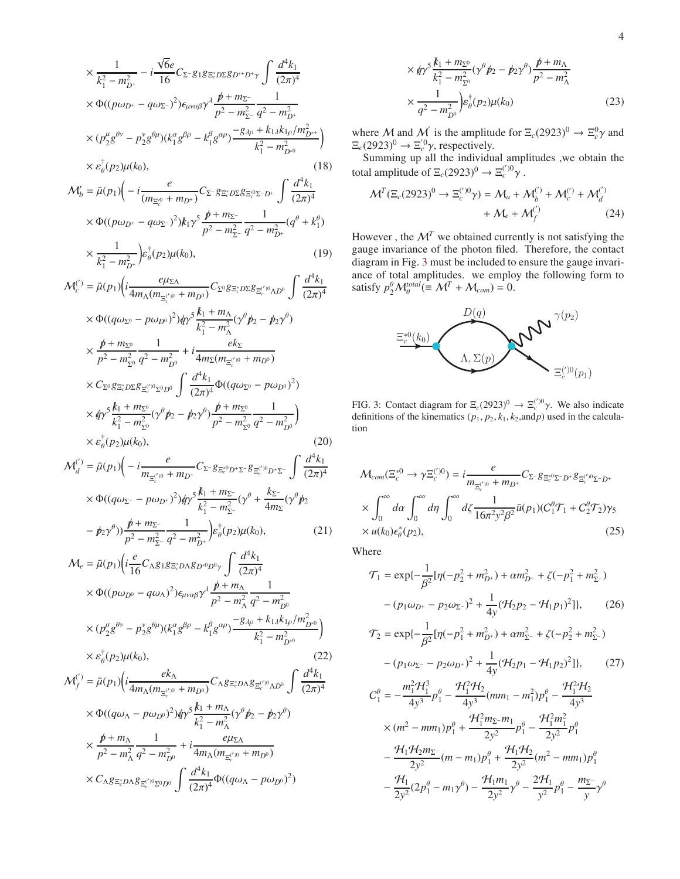$$
\times \frac{1}{k_1^2 - m_{D^+}^2} - i \frac{\sqrt{6}e}{16} C_{\Sigma^-} g_1 g_{\Xi_c^* D \Sigma} g_{D^{*+} D^+ \gamma} \int \frac{d^4 k_1}{(2\pi)^4} \times \Phi((p\omega_{D^+} - q\omega_{\Sigma^-})^2) \epsilon_{\mu\nu\alpha\beta} \gamma^{\lambda} \frac{p + m_{\Sigma^-}}{p^2 - m_{\Sigma^-}^2} \frac{1}{q^2 - m_{D^+}^2} \times (p_{2}^{\mu} g^{\theta\nu} - p_{2}^{\nu} g^{\theta\mu}) (k_1^{\alpha} g^{\beta\rho} - k_1^{\beta} g^{\alpha\rho}) \frac{-g_{\lambda\rho} + k_{1\lambda} k_{1\rho} / m_{D^{*+}}^2}{k_1^2 - m_{D^{*0}}^2}) \times \varepsilon_{\theta}^{\dagger}(p_{2}) \mu(k_0),
$$
\n(18)

$$
\mathcal{M}'_b = \bar{\mu}(p_1) \bigg( -i \frac{e}{(m_{\Xi_c^{*0}} + m_{D^+})} C_{\Sigma^-} g_{\Xi_c^* D \Sigma} g_{\Xi_c^{*0} \Sigma^- D^+} \int \frac{d^4 k_1}{(2\pi)^4} \times \Phi((p\omega_{D^+} - q\omega_{\Sigma^-})^2) k_1 \gamma^5 \frac{p + m_{\Sigma^-}}{p^2 - m_{\Sigma^-}^2} \frac{1}{q^2 - m_{D^+}^2} (q^{\theta} + k_1^{\theta})
$$

$$
\times \frac{1}{k_1^2 - m_{D^+}^2} \Big) \varepsilon_{\theta}^{\dagger}(p_2) \mu(k_0), \tag{19}
$$

$$
\mathcal{M}_c^{(')} = \bar{\mu}(p_1) \Big( i \frac{e\mu_{\Sigma\Lambda}}{4m_{\Lambda}(m_{\Xi_c^{('0)}} + m_{D^0})} C_{\Sigma^0} g_{\Xi_c^* D \Sigma} g_{\Xi_c^{('0}\Lambda D^0} \int \frac{d^4 k_1}{(2\pi)^4} \times \Phi((q\omega_{\Sigma^0} - p\omega_{D^0})^2) q \gamma^5 \frac{k_1 + m_{\Lambda}}{k_1^2 - m_{\Lambda}^2} (\gamma^{\theta} p_2 - p_2 \gamma^{\theta}) \times \frac{p + m_{\Sigma^0}}{p^2 - m_{\Sigma^0}^2} \frac{1}{q^2 - m_{D^0}^2} + i \frac{ek_{\Sigma}}{4m_{\Sigma}(m_{\Xi_c^{('0)}} + m_{D^0})} \times C_{\Sigma^0} g_{\Xi_c^* D \Sigma} g_{\Xi_c^{('0)} \Sigma^0 D^0} \int \frac{d^4 k_1}{(2\pi)^4} \Phi((q\omega_{\Sigma^0} - p\omega_{D^0})^2) \times q \gamma^5 \frac{k_1 + m_{\Sigma^0}}{k_1^2 - m_{\Sigma^0}^2} (\gamma^{\theta} p_2 - p_2 \gamma^{\theta}) \frac{p + m_{\Sigma^0}}{p^2 - m_{\Sigma^0}^2} \frac{1}{q^2 - m_{D^0}^2} \times \varepsilon_0^{\dagger}(p_2) \mu(k_0),
$$
\n(20)

$$
\mathcal{M}_{d}^{(')} = \bar{\mu}(p_{1}) \left( -i \frac{e}{m_{\Xi_{c}^{('0)}} + m_{D^{+}}} C_{\Sigma^{-}} g_{\Xi_{c}^{(0)} D^{+} \Sigma^{-}} g_{\Xi_{c}^{('0)} D^{+} \Sigma^{-}} \int \frac{d^{4}k_{1}}{(2\pi)^{4}} \times \Phi((q\omega_{\Sigma^{-}} - p\omega_{D^{+}})^{2}) \frac{d\gamma^{5}}{k_{1}^{2} - m_{\Sigma^{-}}^{2}} (\gamma^{\theta} + \frac{k_{\Sigma^{-}}}{4m_{\Sigma}} (\gamma^{\theta} p_{2}) - (p_{2}\gamma^{\theta})) \frac{p + m_{\Sigma^{-}}}{n_{\Sigma^{-}} - m_{\Sigma^{-}}^{2}} \frac{1}{n_{\Sigma^{-}}^{2} - m_{\Sigma^{-}}^{2}} \right) \varepsilon_{\theta}^{\dagger}(p_{2}) \mu(k_{0}), \tag{21}
$$

$$
P27 \t m_{p^2 - m_{2-}^2 q^2 - m_{D^+}^2}^2 \int e_{\theta} \Psi_2 p_{\theta} \Psi_3 p_{\theta} \Psi_5
$$
\n
$$
M_e = \bar{\mu}(p_1) \Big( i \frac{e}{16} C_{\Lambda} g_{1} g_{\bar{z}_c} p_{\Lambda} g_{D^0} p_{0} \Big) \int \frac{d^4 k_1}{(2\pi)^4}
$$
\n
$$
\times \Phi((p\omega_{D^0} - q\omega_{\Lambda})^2) \epsilon_{\mu\nu\alpha\beta} \gamma^{\lambda} \frac{p + m_{\Lambda}}{p^2 - m_{\Lambda}^2} \frac{1}{q^2 - m_{D^0}^2}
$$
\n
$$
\times (p_2^{\mu} g^{\theta\nu} - p_2^{\nu} g^{\theta\mu}) (k_1^{\alpha} g^{\beta\rho} - k_1^{\beta} g^{\alpha\rho}) \frac{-g_{\lambda\rho} + k_{1\lambda} k_{1\rho} / m_{D^0}^2}{k_1^2 - m_{D^0}^2} \Big)
$$
\n
$$
\times \epsilon_{\theta}^{\dagger}(p_2) \mu(k_0),
$$
\n(22)\n
$$
M^{(1)} = \bar{\mu}(p_1) \Big( i \frac{ek_{\Lambda}}{p_1 - p_2} \Big)
$$

$$
\mathcal{M}_{f}^{(')} = \bar{\mu}(p_{1}) \Big( i \frac{ek_{\Lambda}}{4m_{\Lambda}(m_{\Xi_{c}^{('0)}} + m_{D^{0}})} C_{\Lambda} g_{\Xi_{c}^{*}D\Lambda} g_{\Xi_{c}^{('0} \Lambda D^{0}} \int \frac{d^{4}k_{1}}{(2\pi)^{4}}
$$
  
×  $\Phi((q\omega_{\Lambda} - p\omega_{D^{0}})^{2}) \phi y^{5} \frac{k_{1} + m_{\Lambda}}{k_{1}^{2} - m_{\Lambda}^{2}} (\gamma^{\theta} p_{2} - p_{2} \gamma^{\theta})$   
×  $\frac{p + m_{\Lambda}}{p^{2} - m_{\Lambda}^{2}} \frac{1}{q^{2} - m_{D^{0}}^{2}} + i \frac{e\mu_{\Sigma\Lambda}}{4m_{\Lambda}(m_{\Xi_{c}^{('0)}} + m_{D^{0}})}$   
×  $C_{\Lambda} g_{\Xi_{c}^{*}D\Lambda} g_{\Xi_{c}^{('0}\Sigma_{0}D^{0}} \int \frac{d^{4}k_{1}}{(2\pi)^{4}} \Phi((q\omega_{\Lambda} - p\omega_{D^{0}})^{2})$ 

$$
\times \phi \gamma^5 \frac{k_1 + m_{\Sigma^0}}{k_1^2 - m_{\Sigma^0}^2} (\gamma^\theta p_2 - p_2 \gamma^\theta) \frac{p + m_\Lambda}{p^2 - m_\Lambda^2} \n\times \frac{1}{q^2 - m_{D^0}^2} \Big) \varepsilon_0^{\dagger} (p_2) \mu(k_0)
$$
\n(23)

where M and M' is the amplitude for  $\Xi_c(2923)^0 \to \Xi_c^0 \gamma$  and  $\Xi_c(2923)^0 \to \Xi_c^{0}\gamma$ , respectively.

Summing up all the individual amplitudes ,we obtain the total amplitude of  $\Xi_c(2923)^0 \to \Xi_c^{(')0}\gamma$ .

$$
\mathcal{M}^T (\Xi_c (2923)^0 \to \Xi_c^{('0)} \gamma) = \mathcal{M}_a + \mathcal{M}_b^{(')} + \mathcal{M}_c^{(')} + \mathcal{M}_d^{(')} + \mathcal{M}_e + \mathcal{M}_f^{(')}
$$
\n
$$
+ \mathcal{M}_e + \mathcal{M}_f^{(')}
$$
\n(24)

However, the  $\mathcal{M}^T$  we obtained currently is not satisfying the gauge invariance of the photon filed. Therefore, the contact diagram in Fig. [3](#page-3-0) must be included to ensure the gauge invariance of total amplitudes. we employ the following form to satisfy  $p_2^{\theta} \mathcal{M}_{\theta}^{total} (\equiv \mathcal{M}^T + \mathcal{M}_{com}) = 0.$ 



<span id="page-3-0"></span>FIG. 3: Contact diagram for  $\Xi_c(2923)^0 \to \Xi_c^{(')0}\gamma$ . We also indicate definitions of the kinematics  $(p_1, p_2, k_1, k_2, \text{and } p)$  used in the calculation

$$
\mathcal{M}_{com}(\Xi_c^{*0} \to \gamma \Xi_c^{(0)}) = i \frac{e}{m_{\Xi_c^{(0)}} + m_{D^+}} C_{\Sigma^-} g_{\Xi_c^{*0} \Sigma^- D^+} g_{\Xi_c^{(0)} \Sigma^- D^+}
$$
  
 
$$
\times \int_0^\infty d\alpha \int_0^\infty d\eta \int_0^\infty d\zeta \frac{1}{16\pi^2 y^2 \beta^2} \bar{u}(p_1) (C_1^{\theta} \mathcal{T}_1 + C_2^{\theta} \mathcal{T}_2) \gamma_5
$$
  
 
$$
\times u(k_0) \epsilon_{\theta}^*(p_2), \qquad (25)
$$

Where

$$
\mathcal{T}_1 = \exp\{-\frac{1}{\beta^2}[\eta(-p_2^2 + m_{D^+}^2) + \alpha m_{D^+}^2 + \zeta(-p_1^2 + m_{\Sigma^-}^2) - (p_1\omega_{D^+} - p_2\omega_{\Sigma^-})^2 + \frac{1}{4y}(\mathcal{H}_2p_2 - \mathcal{H}_1p_1)^2]\},
$$
 (26)

$$
\mathcal{T}_2 = \exp\{-\frac{1}{\beta^2}[\eta(-p_1^2 + m_{D^+}^2) + \alpha m_{\Sigma^-}^2 + \zeta(-p_2^2 + m_{\Sigma^-}^2) - (\eta \zeta)(\eta - p_1 \zeta)(\eta - \eta^2) + \frac{1}{2}(\gamma \zeta - \eta^2 \zeta - \eta^2)\}\
$$

− (*p*1ω<sup>Σ</sup> <sup>−</sup> − *p*2ω*D*<sup>+</sup> ) <sup>2</sup> + 4*y* (H<sup>2</sup> *p*<sup>1</sup> − H<sup>1</sup> *p*2) ]}, (27) *m* 2 1H<sup>3</sup> H2 H2 1H2

$$
C_1^{\theta} = -\frac{m_1^2 \pi_1^2}{4y^3} p_1^{\theta} - \frac{\pi_1^2 \pi_2}{4y^3} (mm_1 - m_1^2) p_1^{\theta} - \frac{\pi_1^2 \pi_2}{4y^3}
$$
  
\n
$$
\times (m^2 - mm_1) p_1^{\theta} + \frac{\pi_1^2 m_2 - m_1}{2y^2} p_1^{\theta} - \frac{\pi_1^2 m_1^2}{2y^2} p_1^{\theta}
$$
  
\n
$$
- \frac{\pi_1 \pi_2 m_2}{2y^2} (m - m_1) p_1^{\theta} + \frac{\pi_1 \pi_2}{2y^2} (m^2 - mm_1) p_1^{\theta}
$$
  
\n
$$
- \frac{\pi_1}{2y^2} (2p_1^{\theta} - m_1 \gamma^{\theta}) - \frac{\pi_1 m_1}{2y^2} \gamma^{\theta} - \frac{2\pi_1}{y^2} p_1^{\theta} - \frac{m_2}{y} \gamma^{\theta}
$$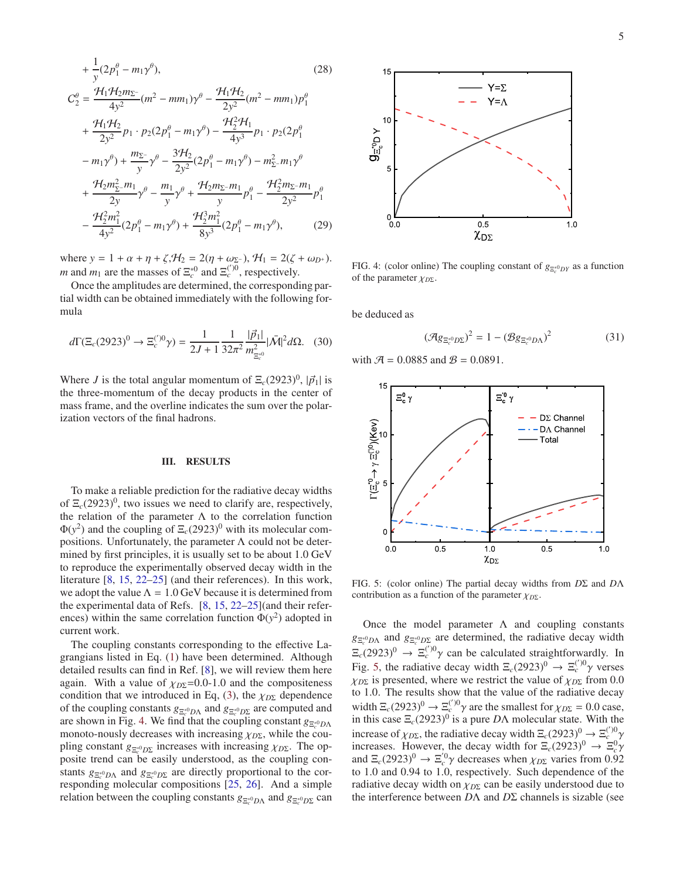$$
+\frac{1}{y}(2p_1^{\theta} - m_1\gamma^{\theta}),
$$
\n
$$
C_2^{\theta} = \frac{\mathcal{H}_1\mathcal{H}_2m_{\Sigma^-}}{4y^2}(m^2 - mm_1)\gamma^{\theta} - \frac{\mathcal{H}_1\mathcal{H}_2}{2y^2}(m^2 - mm_1)p_1^{\theta}
$$
\n
$$
+\frac{\mathcal{H}_1\mathcal{H}_2}{2y^2}p_1 \cdot p_2(2p_1^{\theta} - m_1\gamma^{\theta}) - \frac{\mathcal{H}_2^2\mathcal{H}_1}{4y^3}p_1 \cdot p_2(2p_1^{\theta}
$$
\n
$$
-m_1\gamma^{\theta}) + \frac{m_{\Sigma^-}}{y}\gamma^{\theta} - \frac{3\mathcal{H}_2}{2y^2}(2p_1^{\theta} - m_1\gamma^{\theta}) - m_{\Sigma^-}^2m_1\gamma^{\theta}
$$
\n
$$
+\frac{\mathcal{H}_2m_{\Sigma^-}^2m_1}{2y}\gamma^{\theta} - \frac{m_1}{y}\gamma^{\theta} + \frac{\mathcal{H}_2m_{\Sigma^-}m_1}{y}p_1^{\theta} - \frac{\mathcal{H}_2^2m_{\Sigma^-}m_1}{2y^2}p_1^{\theta}
$$
\n
$$
-\frac{\mathcal{H}_2^2m_1^2}{4y^2}(2p_1^{\theta} - m_1\gamma^{\theta}) + \frac{\mathcal{H}_2^3m_1^2}{8y^3}(2p_1^{\theta} - m_1\gamma^{\theta}),
$$
\n(29)

where  $y = 1 + \alpha + \eta + \zeta$ ,  $H_2 = 2(\eta + \omega_{\Sigma^-})$ ,  $H_1 = 2(\zeta + \omega_{D^+})$ . *m* and  $m_1$  are the masses of  $\Xi_c^{*0}$  and  $\Xi_c^{('0)}$ , respectively.

Once the amplitudes are determined, the corresponding partial width can be obtained immediately with the following formula

$$
d\Gamma(\Xi_c(2923)^0 \to \Xi_c^{(')0}\gamma) = \frac{1}{2J+1} \frac{1}{32\pi^2} \frac{|\vec{p}_1|}{m_{\Xi_c^{*0}}^2} |\bar{\mathcal{M}}|^2 d\Omega. \tag{30}
$$

Where *J* is the total angular momentum of  $\Xi_c(2923)^0$ ,  $|\vec{p}_1|$  is the three-momentum of the decay products in the center of mass frame, and the overline indicates the sum over the polarization vectors of the final hadrons.

## <span id="page-4-0"></span>III. RESULTS

To make a reliable prediction for the radiative decay widths of  $\Xi_c(2923)^0$ , two issues we need to clarify are, respectively, the relation of the parameter  $\Lambda$  to the correlation function  $\Phi(y^2)$  and the coupling of  $\Xi_c(2923)^0$  with its molecular compositions. Unfortunately, the parameter  $\Lambda$  could not be determined by first principles, it is usually set to be about 1.0 GeV to reproduce the experimentally observed decay width in the literature [\[8](#page-6-0), [15,](#page-6-13) [22](#page-6-20)[–25](#page-6-21)] (and their references). In this work, we adopt the value  $\Lambda = 1.0$  GeV because it is determined from the experimental data of Refs. [\[8,](#page-6-0) [15,](#page-6-13) [22](#page-6-20)[–25\]](#page-6-21)(and their references) within the same correlation function  $\Phi(y^2)$  adopted in current work.

The coupling constants corresponding to the effective Lagrangians listed in Eq. [\(1\)](#page-1-2) have been determined. Although detailed results can find in Ref. [\[8](#page-6-0)], we will review them here again. With a value of  $\chi_{D\Sigma}$ =0.0-1.0 and the compositeness condition that we introduced in Eq, [\(3\)](#page-1-3), the  $\chi_{D\Sigma}$  dependence of the coupling constants  $g_{\Xi_c^{*0}DΛ}$  and  $g_{\Xi_c^{*0}DΣ}$  are computed and are shown in Fig. [4.](#page-4-1) We find that the coupling constant  $g_{\Xi_c^*0D\Lambda}$ monoto-nously decreases with increasing  $\chi_{D\Sigma}$ , while the coupling constant  $g_{\Xi_c^{*0}D\Sigma}$  increases with increasing  $χ_{D\Sigma}$ . The opposite trend can be easily understood, as the coupling constants  $g_{\Xi_c^{*0}D\Lambda}$  and  $g_{\Xi_c^{*0}D\Sigma}$  are directly proportional to the corresponding molecular compositions [\[25,](#page-6-21) [26\]](#page-6-22). And a simple relation between the coupling constants  $g_{\Xi_c^{*0}D\Lambda}$  and  $g_{\Xi_c^{*0}D\Sigma}$  can



<span id="page-4-1"></span>FIG. 4: (color online) The coupling constant of  $g_{\Xi_c^{*0}DY}$  as a function of the parameter χ*D*<sup>Σ</sup>.

be deduced as

$$
(\mathcal{A}g_{\Xi_c^{*0}D\Sigma})^2 = 1 - (\mathcal{B}g_{\Xi_c^{*0}D\Lambda})^2
$$
 (31)

with  $A = 0.0885$  and  $B = 0.0891$ .



<span id="page-4-2"></span>FIG. 5: (color online) The partial decay widths from *D*Σ and *D*Λ contribution as a function of the parameter  $\chi_{D\Sigma}$ .

Once the model parameter  $\Lambda$  and coupling constants  $g_{\Xi_c^{*0}D\Lambda}$  and  $g_{\Xi_c^{*0}D\Sigma}$  are determined, the radiative decay width  $\Xi_c(2923)^0 \to \Xi_c^{(')0} \gamma$  can be calculated straightforwardly. In Fig. [5,](#page-4-2) the radiative decay width  $\Xi_c(2923)^0 \to \Xi_c^{(')}\gamma$  verses  $\chi_{D\Sigma}$  is presented, where we restrict the value of  $\chi_{D\Sigma}$  from 0.0 to 1.0. The results show that the value of the radiative decay width  $\Xi_c(2923)^0 \to \Xi_c^{(')} \gamma$  are the smallest for  $\chi_{D\Sigma} = 0.0$  case, in this case  $\Xi_c(2923)^0$  is a pure  $D\Lambda$  molecular state. With the increase of  $\chi_{D\Sigma}$ , the radiative decay width  $\Xi_c(2923)^0 \to \Xi_c^{(')}0$ increases. However, the decay width for  $\Xi_c(2923)^0 \rightarrow \Xi_c^0 \gamma$ and  $\Xi_c(2923)^0 \to \Xi_c^{0} \gamma$  decreases when  $\chi_{D\Sigma}$  varies from 0.92 to 1.0 and 0.94 to 1.0, respectively. Such dependence of the radiative decay width on  $\chi_{D\Sigma}$  can be easily understood due to the interference between *D*Λ and *D*Σ channels is sizable (see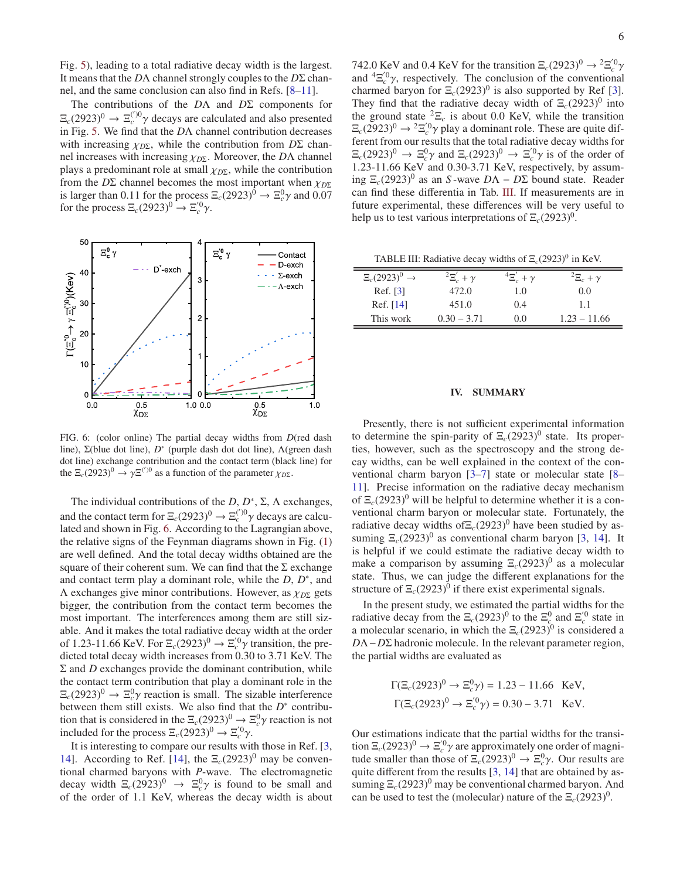Fig. [5\)](#page-4-2), leading to a total radiative decay width is the largest. It means that the *D*Λ channel strongly couples to the *D*Σ channel, and the same conclusion can also find in Refs. [\[8](#page-6-0)[–11\]](#page-6-10).

The contributions of the *D*Λ and *D*Σ components for  $\Xi_c(2923)^0 \to \Xi_c^{(')0} \gamma$  decays are calculated and also presented in Fig. [5.](#page-4-2) We find that the *D*Λ channel contribution decreases with increasing  $\chi_{D\Sigma}$ , while the contribution from  $D\Sigma$  channel increases with increasing χ*D*Σ. Moreover, the *D*Λ channel plays a predominant role at small χ*D*Σ, while the contribution from the *D*Σ channel becomes the most important when χ*D*<sup>Σ</sup> is larger than 0.11 for the process  $\Xi_c(2923)^0 \to \Xi_c^0 \gamma$  and 0.07 for the process  $\Xi_c(2923)^0 \to \Xi_c^{'0} \gamma$ .



<span id="page-5-0"></span>FIG. 6: (color online) The partial decay widths from *D*(red dash line), Σ(blue dot line), D<sup>\*</sup> (purple dash dot dot line), Λ(green dash dot line) exchange contribution and the contact term (black line) for the  $\Xi_c(2923)^0 \to \gamma \Xi^{(')0}$  as a function of the parameter  $\chi_{D\Sigma}$ .

The individual contributions of the  $D, D^*, \Sigma, \Lambda$  exchanges, and the contact term for  $\Xi_c(2923)^0 \to \Xi_c^{(')0} \gamma$  decays are calculated and shown in Fig. [6.](#page-5-0) According to the Lagrangian above, the relative signs of the Feynman diagrams shown in Fig. [\(1\)](#page-1-1) are well defined. And the total decay widths obtained are the square of their coherent sum. We can find that the  $\Sigma$  exchange and contact term play a dominant role, while the *D*, *D*<sup>\*</sup>, and Λ exchanges give minor contributions. However, as χ*D*<sup>Σ</sup> gets bigger, the contribution from the contact term becomes the most important. The interferences among them are still sizable. And it makes the total radiative decay width at the order of 1.23-11.66 KeV. For  $\Xi_c(2923)^0 \to \Xi_c^{0} \gamma$  transition, the predicted total decay width increases from 0.30 to 3.71 KeV. The  $\Sigma$  and *D* exchanges provide the dominant contribution, while the contact term contribution that play a dominant role in the  $\Xi_c(2923)^0 \rightarrow \Xi_c^0 \gamma$  reaction is small. The sizable interference between them still exists. We also find that the  $D^*$  contribution that is considered in the  $\Xi_c(2923)^0 \to \Xi_c^0 \gamma$  reaction is not included for the process  $\Xi_c(2923)^0 \to \Xi_c^{(0)} \gamma$ .

It is interesting to compare our results with those in Ref. [\[3,](#page-6-1) [14\]](#page-6-2). According to Ref. [\[14\]](#page-6-2), the  $\Xi_c(2923)^0$  may be conventional charmed baryons with *P*-wave. The electromagnetic decay width  $\Xi_c(2923)^0 \to \Xi_c^0 \gamma$  is found to be small and of the order of 1.1 KeV, whereas the decay width is about

742.0 KeV and 0.4 KeV for the transition  $\Xi_c(2923)^0 \to {}^2\Xi_c^{'0}\gamma$ and  ${}^{4}E_{c}^{'0}\gamma$ , respectively. The conclusion of the conventional charmed baryon for  $\Xi_c(2923)^0$  is also supported by Ref [\[3](#page-6-1)]. They find that the radiative decay width of  $\Xi_c(2923)^0$  into the ground state  ${}^{2}E_c$  is about 0.0 KeV, while the transition  $\Xi_c(2923)^0 \rightarrow {}^2\Xi_c^{'0} \gamma$  play a dominant role. These are quite different from our results that the total radiative decay widths for  $\Xi_c(2923)^0 \to \Xi_c^0 \gamma$  and  $\Xi_c(2923)^0 \to \Xi_c^0 \gamma$  is of the order of 1.23-11.66 KeV and 0.30-3.71 KeV, respectively, by assuming  $\Xi_c(2923)^0$  as an *S* -wave *D*Λ − *D*Σ bound state. Reader can find these differentia in Tab. [III.](#page-5-1) If measurements are in future experimental, these differences will be very useful to help us to test various interpretations of  $\Xi_c(2923)^0$ .

<span id="page-5-1"></span>TABLE III: Radiative decay widths of  $\Xi_c(2923)^0$  in KeV.

| $\Xi_c(2923)^0 \rightarrow$ | $E_c'+\gamma$ | $^4\Xi_c^{'}$ + $\gamma$ | $E_c + \gamma$ |
|-----------------------------|---------------|--------------------------|----------------|
| Ref. [3]                    | 472.0         | 1.0                      | 0.0            |
| Ref. $[14]$                 | 451.0         | 0.4                      | 1.1            |
| This work                   | $0.30 - 3.71$ | 0.0                      | $1.23 - 11.66$ |

#### IV. SUMMARY

Presently, there is not sufficient experimental information to determine the spin-parity of  $\Xi_c(2923)^0$  state. Its properties, however, such as the spectroscopy and the strong decay widths, can be well explained in the context of the conventional charm baryon [\[3](#page-6-1)[–7](#page-6-8)] state or molecular state [\[8](#page-6-0)– [11](#page-6-10)]. Precise information on the radiative decay mechanism of  $\Xi_c(2923)^0$  will be helpful to determine whether it is a conventional charm baryon or molecular state. Fortunately, the radiative decay widths of $\Xi_c(2923)^0$  have been studied by assuming  $\Xi_c(2923)^0$  as conventional charm baryon [\[3](#page-6-1), [14](#page-6-2)]. It is helpful if we could estimate the radiative decay width to make a comparison by assuming  $\Xi_c(2923)^0$  as a molecular state. Thus, we can judge the different explanations for the structure of  $\Xi_c(2923)^0$  if there exist experimental signals.

In the present study, we estimated the partial widths for the radiative decay from the  $\Xi_c(2923)^0$  to the  $\Xi_c^0$  and  $\Xi_c^{'0}$  state in a molecular scenario, in which the  $\Xi_c(2923)^0$  is considered a *D*Λ−*D*Σ hadronic molecule. In the relevant parameter region, the partial widths are evaluated as

$$
\Gamma(\Xi_c(2923)^0 \to \Xi_c^0 \gamma) = 1.23 - 11.66
$$
 KeV,  
\n $\Gamma(\Xi_c(2923)^0 \to \Xi_c^0 \gamma) = 0.30 - 3.71$  KeV.

Our estimations indicate that the partial widths for the transition  $\Xi_c(2923)^0 \to \Xi_c^{0} \gamma$  are approximately one order of magnitude smaller than those of  $\Xi_c(2923)^0 \to \Xi_c^0 \gamma$ . Our results are quite different from the results [\[3,](#page-6-1) [14\]](#page-6-2) that are obtained by assuming  $\Xi_c(2923)^0$  may be conventional charmed baryon. And can be used to test the (molecular) nature of the  $\Xi_c(2923)^0$ .